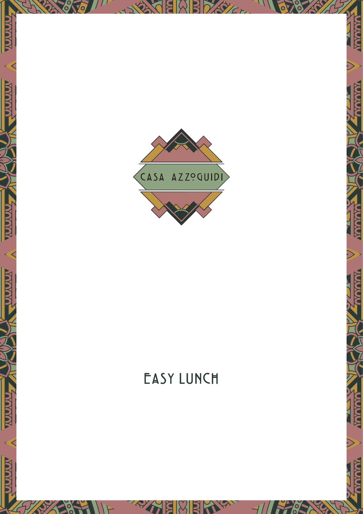

**AVAYA** 

MAYAYA

**AVAYA** 

MAYAY

<u>ayayayaya</u>

ANAMAY

YAYAYAY

ATAYAYA

**MAYAYAY** 

ANAMAY

# EASY LUNCH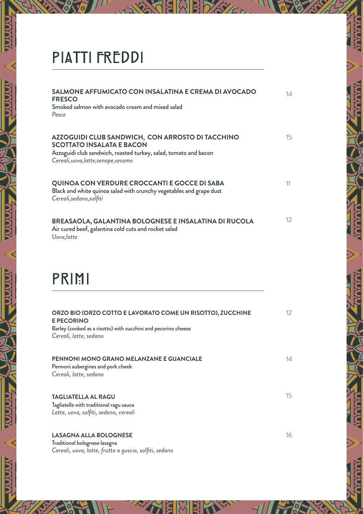### PIATTI FREDDI

**NAVAN** 

**A A A A A** 

**A A A A A A** 

| SALMONE AFFUMICATO CON INSALATINA E CREMA DI AVOCADO<br><b>FRESCO</b><br>Smoked salmon with avocado cream and mixed salad<br>Pesce                                                               | 14                |
|--------------------------------------------------------------------------------------------------------------------------------------------------------------------------------------------------|-------------------|
| AZZOGUIDI CLUB SANDWICH, CON ARROSTO DI TACCHINO<br><b>SCOTTATO INSALATA E BACON</b><br>Azzoguidi club sandwich, roasted turkey, salad, tomato and bacon<br>Cereali, uova, latte, senape, sesamo | 15                |
| QUINOA CON VERDURE CROCCANTI E GOCCE DI SABA<br>Black and white quinoa salad with crunchy vegetables and grape dust<br>Cereali, sedano, solfiti                                                  | 11                |
| BREASAOLA, GALANTINA BOLOGNESE E INSALATINA DI RUCOLA<br>Air cured beef, galantina cold cuts and rocket salad<br>Uova, latte                                                                     | $12 \overline{ }$ |

### PRIMI

| ORZO BIO (ORZO COTTO E LAVORATO COME UN RISOTTO), ZUCCHINE<br><b>E PECORINO</b><br>Barley (cooked as a risotto) with zucchini and pecorino cheese<br>Cereali, latte, sedano | 12 |
|-----------------------------------------------------------------------------------------------------------------------------------------------------------------------------|----|
| <b>PENNONI MONO GRANO MELANZANE E GUANCIALE</b><br>Pennoni aubergines and pork cheek<br>Cereali, latte, sedano                                                              | 14 |
| <b>TAGLIATELLA AL RAGU</b><br>Tagliatella with traditional ragu sauce<br>Latte, uova, solfiti, sedano, cereali                                                              | 15 |
| <b>LASAGNA ALLA BOLOGNESE</b>                                                                                                                                               | 16 |

Traditional bolognese lasagna *Cereali, uova, latte, frutta a guscio, solfiti, sedano*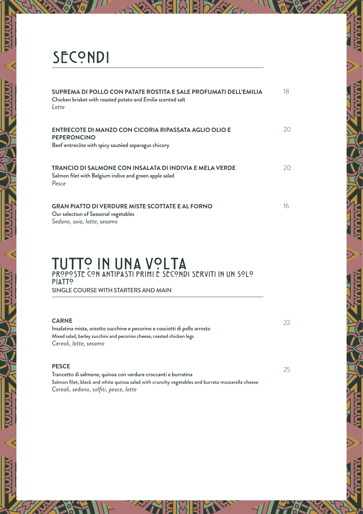## SECONDI

| SUPREMA DI POLLO CON PATATE ROSTITA E SALE PROFUMATI DELL'EMILIA<br>Chicken brisket with roasted potato and Emilia scented salt<br>l atte | 18 |
|-------------------------------------------------------------------------------------------------------------------------------------------|----|
| ENTRECOTE DI MANZO CON CICORIA RIPASSATA AGLIO OLIO E<br><b>PEPERONCINO</b><br>Beef entrecôte with spicy sautéed asparagus chicory        | 20 |
| TRANCIO DI SALMONE CON INSALATA DI INDIVIA E MELA VERDE<br>Salmon filet with Belgium indive and green apple salad<br>Pesce                | 20 |
| <b>GRAN PIATTO DI VERDURE MISTE SCOTTATE E AL FORNO</b><br>Our selection of Seasonal vegetables<br>Sedano, soia, latte, sesamo            | 16 |

#### TUTTO IN UNA VOLTA PROPOSTE CON ANTIPASTI PRIMI E SECONDI SERVITI IN UN SOLO **PIATTO** SINGLE COURSE WITH STARTERS AND MAIN

| <b>CARNE</b><br>Insalatina mista, orzotto zucchine e pecorino e cosciotti di pollo arrosto<br>Mixed salad, barley zucchini and pecorino cheese, roasted chicken legs               | 22 |
|------------------------------------------------------------------------------------------------------------------------------------------------------------------------------------|----|
| Cereali, latte, sesamo                                                                                                                                                             |    |
| <b>PESCE</b><br>the company of the company of<br>エー・エー・ピー・レー・エー<br>the contract of the contract of the contract of the contract of the contract of the contract of the contract of | 25 |

Trancetto di salmone, quinoa con verdure croccanti e burratina Salmon filet, black and white quinoa salad with crunchy vegetables and burrata mozzarella cheese *Cereali, sedano, solfiti, pesce, latte*